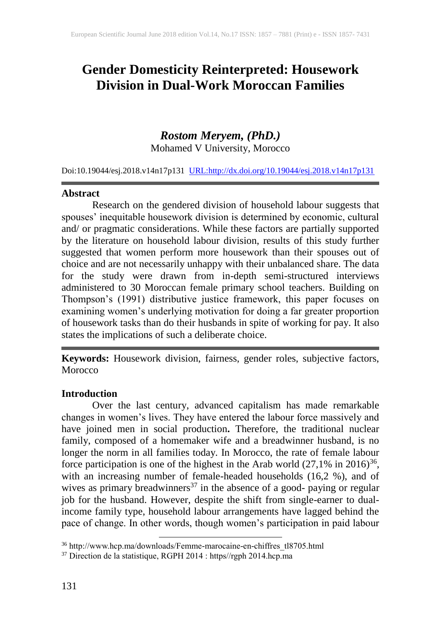# **Gender Domesticity Reinterpreted: Housework Division in Dual-Work Moroccan Families**

# *Rostom Meryem, (PhD.)*

Mohamed V University, Morocco

Doi:10.19044/esj.2018.v14n17p131 [URL:http://dx.doi.org/10.19044/esj.2018.v14n17p131](http://dx.doi.org/10.19044/esj.2018.v14n17p131)

#### **Abstract**

Research on the gendered division of household labour suggests that spouses' inequitable housework division is determined by economic, cultural and/ or pragmatic considerations. While these factors are partially supported by the literature on household labour division, results of this study further suggested that women perform more housework than their spouses out of choice and are not necessarily unhappy with their unbalanced share. The data for the study were drawn from in-depth semi-structured interviews administered to 30 Moroccan female primary school teachers. Building on Thompson's (1991) distributive justice framework, this paper focuses on examining women's underlying motivation for doing a far greater proportion of housework tasks than do their husbands in spite of working for pay. It also states the implications of such a deliberate choice.

**Keywords:** Housework division, fairness, gender roles, subjective factors, **Morocco** 

#### **Introduction**

Over the last century, advanced capitalism has made remarkable changes in women's lives. They have entered the labour force massively and have joined men in social production**.** Therefore, the traditional nuclear family, composed of a homemaker wife and a breadwinner husband, is no longer the norm in all families today. In Morocco, the rate of female labour force participation is one of the highest in the Arab world  $(27,1\%$  in 2016)<sup>36</sup>, with an increasing number of female-headed households (16,2 %), and of wives as primary breadwinners<sup>37</sup> in the absence of a good- paying or regular job for the husband. However, despite the shift from single-earner to dualincome family type, household labour arrangements have lagged behind the pace of change. In other words, though women's participation in paid labour

 $\overline{a}$ 

<sup>&</sup>lt;sup>36</sup> http://www.hcp.ma/downloads/Femme-marocaine-en-chiffres\_tl8705.html

<sup>&</sup>lt;sup>37</sup> Direction de la statistique, RGPH 2014 : https//rgph 2014.hcp.ma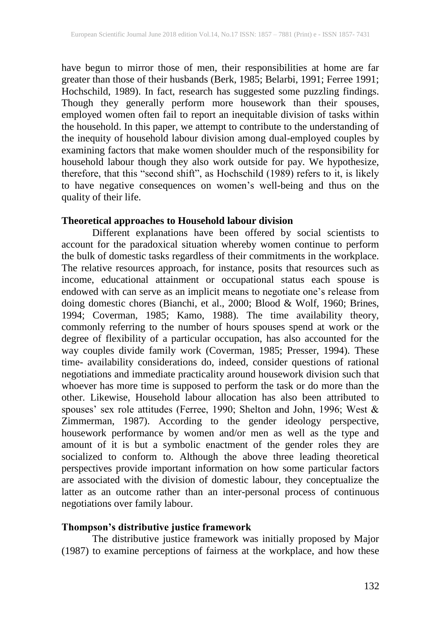have begun to mirror those of men, their responsibilities at home are far greater than those of their husbands (Berk, 1985; Belarbi, 1991; Ferree 1991; Hochschild, 1989). In fact, research has suggested some puzzling findings. Though they generally perform more housework than their spouses, employed women often fail to report an inequitable division of tasks within the household. In this paper, we attempt to contribute to the understanding of the inequity of household labour division among dual-employed couples by examining factors that make women shoulder much of the responsibility for household labour though they also work outside for pay. We hypothesize, therefore, that this "second shift", as Hochschild (1989) refers to it, is likely to have negative consequences on women's well-being and thus on the quality of their life.

## **Theoretical approaches to Household labour division**

Different explanations have been offered by social scientists to account for the paradoxical situation whereby women continue to perform the bulk of domestic tasks regardless of their commitments in the workplace. The relative resources approach, for instance, posits that resources such as income, educational attainment or occupational status each spouse is endowed with can serve as an implicit means to negotiate one's release from doing domestic chores (Bianchi, et al., 2000; Blood & Wolf, 1960; Brines, 1994; Coverman, 1985; Kamo, 1988). The time availability theory, commonly referring to the number of hours spouses spend at work or the degree of flexibility of a particular occupation, has also accounted for the way couples divide family work (Coverman, 1985; Presser, 1994). These time- availability considerations do, indeed, consider questions of rational negotiations and immediate practicality around housework division such that whoever has more time is supposed to perform the task or do more than the other. Likewise, Household labour allocation has also been attributed to spouses' sex role attitudes (Ferree, 1990; Shelton and John, 1996; West & Zimmerman, 1987). According to the gender ideology perspective, housework performance by women and/or men as well as the type and amount of it is but a symbolic enactment of the gender roles they are socialized to conform to. Although the above three leading theoretical perspectives provide important information on how some particular factors are associated with the division of domestic labour, they conceptualize the latter as an outcome rather than an inter-personal process of continuous negotiations over family labour.

#### **Thompson's distributive justice framework**

The distributive justice framework was initially proposed by Major (1987) to examine perceptions of fairness at the workplace, and how these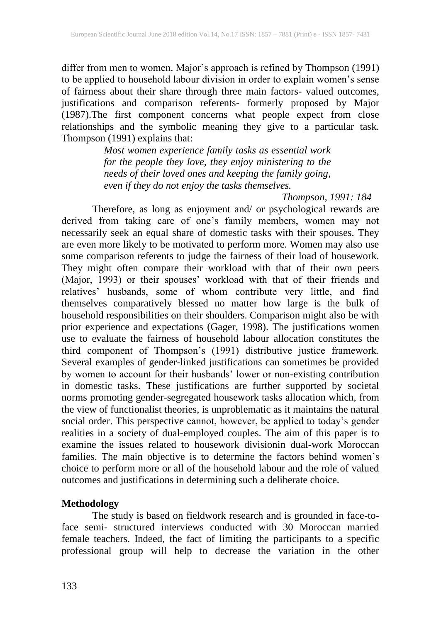differ from men to women. Major's approach is refined by Thompson (1991) to be applied to household labour division in order to explain women's sense of fairness about their share through three main factors- valued outcomes, justifications and comparison referents- formerly proposed by Major (1987).The first component concerns what people expect from close relationships and the symbolic meaning they give to a particular task. Thompson (1991) explains that:

> *Most women experience family tasks as essential work for the people they love, they enjoy ministering to the needs of their loved ones and keeping the family going, even if they do not enjoy the tasks themselves.*

#### *Thompson, 1991: 184*

Therefore, as long as enjoyment and/ or psychological rewards are derived from taking care of one's family members, women may not necessarily seek an equal share of domestic tasks with their spouses. They are even more likely to be motivated to perform more. Women may also use some comparison referents to judge the fairness of their load of housework. They might often compare their workload with that of their own peers (Major, 1993) or their spouses' workload with that of their friends and relatives' husbands, some of whom contribute very little, and find themselves comparatively blessed no matter how large is the bulk of household responsibilities on their shoulders. Comparison might also be with prior experience and expectations (Gager, 1998). The justifications women use to evaluate the fairness of household labour allocation constitutes the third component of Thompson's (1991) distributive justice framework. Several examples of gender-linked justifications can sometimes be provided by women to account for their husbands' lower or non-existing contribution in domestic tasks. These justifications are further supported by societal norms promoting gender-segregated housework tasks allocation which, from the view of functionalist theories, is unproblematic as it maintains the natural social order. This perspective cannot, however, be applied to today's gender realities in a society of dual-employed couples. The aim of this paper is to examine the issues related to housework divisionin dual-work Moroccan families. The main objective is to determine the factors behind women's choice to perform more or all of the household labour and the role of valued outcomes and justifications in determining such a deliberate choice.

#### **Methodology**

The study is based on fieldwork research and is grounded in face-toface semi- structured interviews conducted with 30 Moroccan married female teachers. Indeed, the fact of limiting the participants to a specific professional group will help to decrease the variation in the other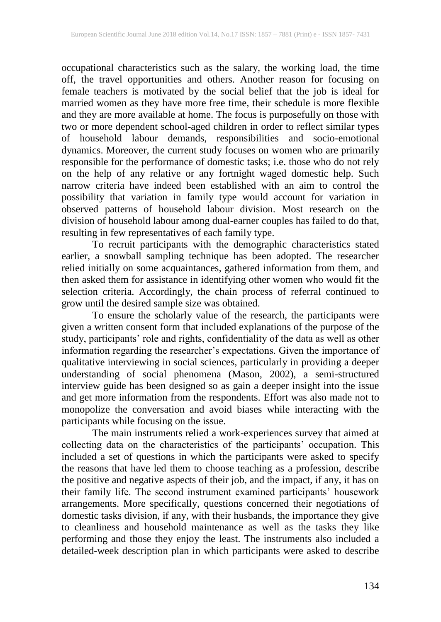occupational characteristics such as the salary, the working load, the time off, the travel opportunities and others. Another reason for focusing on female teachers is motivated by the social belief that the job is ideal for married women as they have more free time, their schedule is more flexible and they are more available at home. The focus is purposefully on those with two or more dependent school-aged children in order to reflect similar types of household labour demands, responsibilities and socio-emotional dynamics. Moreover, the current study focuses on women who are primarily responsible for the performance of domestic tasks; i.e. those who do not rely on the help of any relative or any fortnight waged domestic help. Such narrow criteria have indeed been established with an aim to control the possibility that variation in family type would account for variation in observed patterns of household labour division. Most research on the division of household labour among dual-earner couples has failed to do that, resulting in few representatives of each family type.

To recruit participants with the demographic characteristics stated earlier, a snowball sampling technique has been adopted. The researcher relied initially on some acquaintances, gathered information from them, and then asked them for assistance in identifying other women who would fit the selection criteria. Accordingly, the chain process of referral continued to grow until the desired sample size was obtained.

To ensure the scholarly value of the research, the participants were given a written consent form that included explanations of the purpose of the study, participants' role and rights, confidentiality of the data as well as other information regarding the researcher's expectations. Given the importance of qualitative interviewing in social sciences, particularly in providing a deeper understanding of social phenomena (Mason, 2002), a semi-structured interview guide has been designed so as gain a deeper insight into the issue and get more information from the respondents. Effort was also made not to monopolize the conversation and avoid biases while interacting with the participants while focusing on the issue.

The main instruments relied a work-experiences survey that aimed at collecting data on the characteristics of the participants' occupation. This included a set of questions in which the participants were asked to specify the reasons that have led them to choose teaching as a profession, describe the positive and negative aspects of their job, and the impact, if any, it has on their family life. The second instrument examined participants' housework arrangements. More specifically, questions concerned their negotiations of domestic tasks division, if any, with their husbands, the importance they give to cleanliness and household maintenance as well as the tasks they like performing and those they enjoy the least. The instruments also included a detailed-week description plan in which participants were asked to describe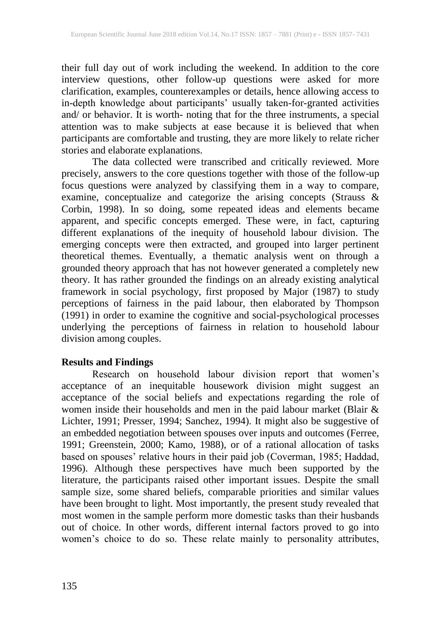their full day out of work including the weekend. In addition to the core interview questions, other follow-up questions were asked for more clarification, examples, counterexamples or details, hence allowing access to in-depth knowledge about participants' usually taken-for-granted activities and/ or behavior. It is worth- noting that for the three instruments, a special attention was to make subjects at ease because it is believed that when participants are comfortable and trusting, they are more likely to relate richer stories and elaborate explanations.

The data collected were transcribed and critically reviewed. More precisely, answers to the core questions together with those of the follow-up focus questions were analyzed by classifying them in a way to compare, examine, conceptualize and categorize the arising concepts (Strauss & Corbin, 1998). In so doing, some repeated ideas and elements became apparent, and specific concepts emerged. These were, in fact, capturing different explanations of the inequity of household labour division. The emerging concepts were then extracted, and grouped into larger pertinent theoretical themes. Eventually, a thematic analysis went on through a grounded theory approach that has not however generated a completely new theory. It has rather grounded the findings on an already existing analytical framework in social psychology, first proposed by Major (1987) to study perceptions of fairness in the paid labour, then elaborated by Thompson (1991) in order to examine the cognitive and social-psychological processes underlying the perceptions of fairness in relation to household labour division among couples.

# **Results and Findings**

Research on household labour division report that women's acceptance of an inequitable housework division might suggest an acceptance of the social beliefs and expectations regarding the role of women inside their households and men in the paid labour market (Blair & Lichter, 1991; Presser, 1994; Sanchez, 1994). It might also be suggestive of an embedded negotiation between spouses over inputs and outcomes (Ferree, 1991; Greenstein, 2000; Kamo, 1988), or of a rational allocation of tasks based on spouses' relative hours in their paid job (Coverman, 1985; Haddad, 1996). Although these perspectives have much been supported by the literature, the participants raised other important issues. Despite the small sample size, some shared beliefs, comparable priorities and similar values have been brought to light. Most importantly, the present study revealed that most women in the sample perform more domestic tasks than their husbands out of choice. In other words, different internal factors proved to go into women's choice to do so. These relate mainly to personality attributes,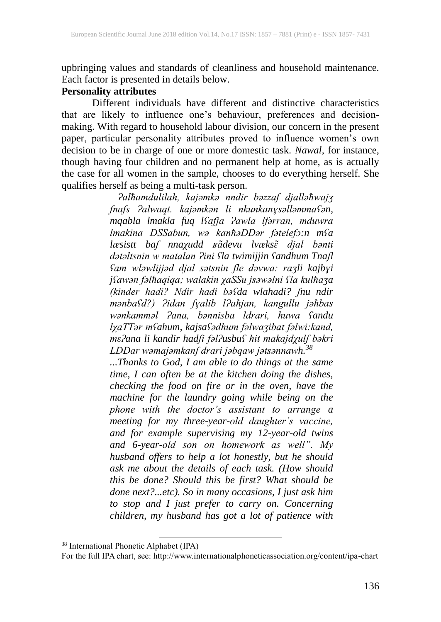upbringing values and standards of cleanliness and household maintenance. Each factor is presented in details below.

#### **Personality attributes**

Different individuals have different and distinctive characteristics that are likely to influence one's behaviour, preferences and decisionmaking. With regard to household labour division, our concern in the present paper, particular personality attributes proved to influence women's own decision to be in charge of one or more domestic task. *Nawal*, for instance, though having four children and no permanent help at home, as is actually the case for all women in the sample, chooses to do everything herself. She qualifies herself as being a multi-task person.

> *Ɂalħamdulilah, kajǝmkǝ nndir bǝzzaf djallǝħwajʒ fnafs Ɂalwaqt. kajǝmkǝn li nkunkanɣsǝllǝmmaʕǝn, mqabla lmakla fuq lʕafja Ɂawla lfǝrran, mduwra lmakina DSSabun, wǝ kanħǝDDǝr fǝtelefɔ:n mʕa lӕsistt baʃ nnaχudd ʁɑ̃devu lvӕksɛ̃ djal bǝnti dǝtǝltsnin w matalan Ɂini ʕla twimijjin ʕandhum Tnaʃl ʕam wlǝwlijjǝd djal sǝtsnin fle dǝvwa: raʒli kajbɣi jʕawǝn fǝlħaqiqa; walakin χaSSu jsǝwǝlni ʕla kulħaʒa (kinder hadi? Ndir hadi bǝʕda wlahadi? ʃnu ndir mǝnbaʕd?) Ɂidan fɣalib lɁaħjan, kangullu jǝħbas wǝnkammǝl Ɂana, bǝnnisba ldrari, huwa ʕandu lχaTTǝr mʕahum, kajsaʕǝdhum fǝlwaʒibat fǝlwi:kand, mεʔana li kandir hadʃi fǝlʔusbuʕ ħit makajdχulʃ bǝkri LDDar wǝmajǝmkanʃ drari jǝbqaw jǝtsǝnnawh.<sup>38</sup>*

> *...Thanks to God, I am able to do things at the same time, I can often be at the kitchen doing the dishes, checking the food on fire or in the oven, have the machine for the laundry going while being on the phone with the doctor's assistant to arrange a meeting for my three-year-old daughter's vaccine, and for example supervising my 12-year-old twins and 6-year-old son on homework as well". My husband offers to help a lot honestly, but he should ask me about the details of each task. (How should this be done? Should this be first? What should be done next?...etc). So in many occasions, I just ask him to stop and I just prefer to carry on. Concerning children, my husband has got a lot of patience with*

 $\overline{a}$ 

<sup>38</sup> International Phonetic Alphabet (IPA)

For the full IPA chart, see: http://www.internationalphoneticassociation.org/content/ipa-chart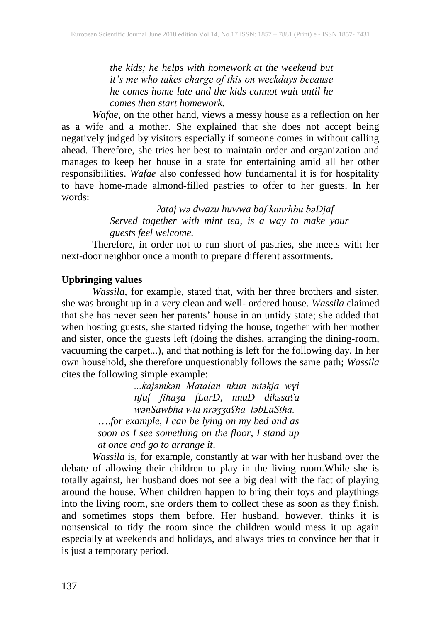*the kids; he helps with homework at the weekend but it's me who takes charge of this on weekdays because he comes home late and the kids cannot wait until he comes then start homework.*

*Wafae*, on the other hand, views a messy house as a reflection on her as a wife and a mother. She explained that she does not accept being negatively judged by visitors especially if someone comes in without calling ahead. Therefore, she tries her best to maintain order and organization and manages to keep her house in a state for entertaining amid all her other responsibilities. *Wafae* also confessed how fundamental it is for hospitality to have home-made almond-filled pastries to offer to her guests. In her words:

> *ʔataj wə dwazu huwwa baʃ kanrħbu bəDjaf Served together with mint tea, is a way to make your guests feel welcome.*

Therefore, in order not to run short of pastries, she meets with her next-door neighbor once a month to prepare different assortments.

## **Upbringing values**

*Wassila*, for example, stated that, with her three brothers and sister, she was brought up in a very clean and well- ordered house. *Wassila* claimed that she has never seen her parents' house in an untidy state; she added that when hosting guests, she started tidying the house, together with her mother and sister, once the guests left (doing the dishes, arranging the dining-room, vacuuming the carpet...), and that nothing is left for the following day. In her own household, she therefore unquestionably follows the same path; *Wassila*  cites the following simple example:

> *...kajǝmkǝn Matalan nkun mtǝkja wɣi nʃuf ʃiħaʒa fLarD, nnuD dikssaʕa wǝnSawbha wla nrǝʒʒaʕha lǝbLaStha.* ….*for example, I can be lying on my bed and as soon as I see something on the floor, I stand up at once and go to arrange it*.

*Wassila* is, for example, constantly at war with her husband over the debate of allowing their children to play in the living room.While she is totally against, her husband does not see a big deal with the fact of playing around the house. When children happen to bring their toys and playthings into the living room, she orders them to collect these as soon as they finish, and sometimes stops them before. Her husband, however, thinks it is nonsensical to tidy the room since the children would mess it up again especially at weekends and holidays, and always tries to convince her that it is just a temporary period.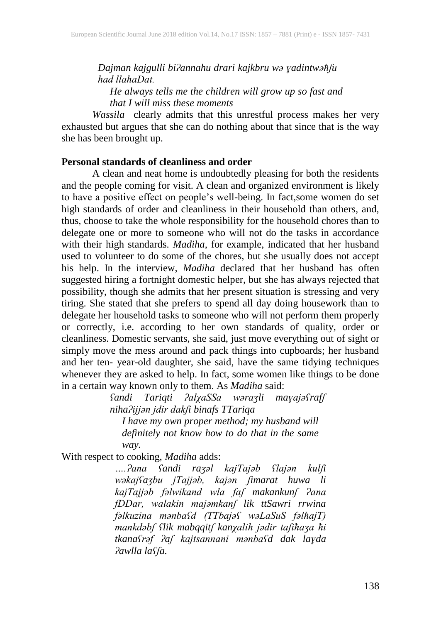*Dajman kajgulli biʔannahu drari kajkbru wə ɣadintwəħʃu had llaħaDat. He always tells me the children will grow up so fast and that I will miss these moments*

*Wassila* clearly admits that this unrestful process makes her very exhausted but argues that she can do nothing about that since that is the way she has been brought up.

#### **Personal standards of cleanliness and order**

A clean and neat home is undoubtedly pleasing for both the residents and the people coming for visit. A clean and organized environment is likely to have a positive effect on people's well-being. In fact,some women do set high standards of order and cleanliness in their household than others, and, thus, choose to take the whole responsibility for the household chores than to delegate one or more to someone who will not do the tasks in accordance with their high standards. *Madiha*, for example, indicated that her husband used to volunteer to do some of the chores, but she usually does not accept his help. In the interview, *Madiha* declared that her husband has often suggested hiring a fortnight domestic helper, but she has always rejected that possibility, though she admits that her present situation is stressing and very tiring. She stated that she prefers to spend all day doing housework than to delegate her household tasks to someone who will not perform them properly or correctly, i.e. according to her own standards of quality, order or cleanliness. Domestic servants, she said, just move everything out of sight or simply move the mess around and pack things into cupboards; her husband and her ten- year-old daughter, she said, have the same tidying techniques whenever they are asked to help. In fact, some women like things to be done in a certain way known only to them. As *Madiha* said:

*ʕandi Tariqti ʔalχaSSa wǝraʒli maɣajǝʕrafʃ nihaʔijjǝn jdir dakʃi binafs TTariqa I have my own proper method; my husband will definitely not know how to do that in the same way.*

With respect to cooking, *Madiha* adds:

*….Ɂana ʕandi raʒǝl kajTajǝb ʕlajǝn kulʃi wǝkajʕaʒbu jTajjǝb, kajǝn ʃimarat huwa li kajTajjǝb fǝlwikand wla faʃ makankunʃ Ɂana fDDar, walakin majǝmkanʃ lik ttSawri rrwina fǝlkuzina mǝnbaʕd (TTbajǝʕ wǝLaSuS fǝlħajT) mankdǝbʃ ʕlik mabqqitʃ kanχalih jǝdir taʃiħaʒa ħi tkanaʕrǝf ʔaʃ kajtsannani mǝnbaʕd dak laɣda ʔawlla laʕʃa.*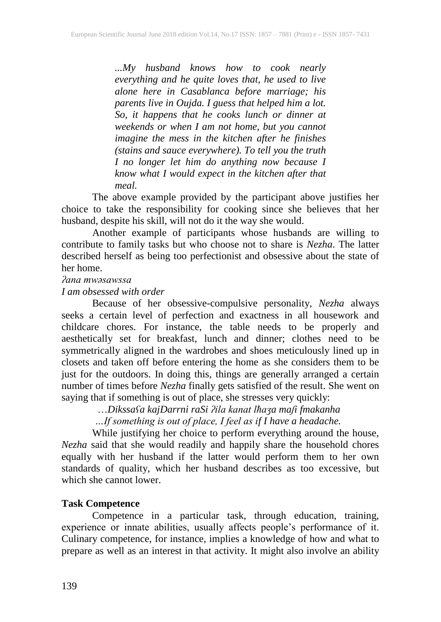*...My husband knows how to cook nearly everything and he quite loves that, he used to live alone here in Casablanca before marriage; his parents live in Oujda. I guess that helped him a lot. So, it happens that he cooks lunch or dinner at weekends or when I am not home, but you cannot imagine the mess in the kitchen after he finishes (stains and sauce everywhere). To tell you the truth I no longer let him do anything now because I know what I would expect in the kitchen after that meal.* 

The above example provided by the participant above justifies her choice to take the responsibility for cooking since she believes that her husband, despite his skill, will not do it the way she would.

Another example of participants whose husbands are willing to contribute to family tasks but who choose not to share is *Nezha*. The latter described herself as being too perfectionist and obsessive about the state of her home.

#### *ʔana mwǝsawssa*

*I am obsessed with order*

Because of her obsessive-compulsive personality, *Nezha* always seeks a certain level of perfection and exactness in all housework and childcare chores. For instance, the table needs to be properly and aesthetically set for breakfast, lunch and dinner; clothes need to be symmetrically aligned in the wardrobes and shoes meticulously lined up in closets and taken off before entering the home as she considers them to be just for the outdoors. In doing this, things are generally arranged a certain number of times before *Nezha* finally gets satisfied of the result. She went on saying that if something is out of place, she stresses very quickly:

…*Dikssaʕa kajDarrni raSi ʔila kanat lħaʒa maʃi fmakanha*

 *…If something is out of place, I feel as if I have a headache.*

While justifying her choice to perform everything around the house, *Nezha* said that she would readily and happily share the household chores equally with her husband if the latter would perform them to her own standards of quality, which her husband describes as too excessive, but which she cannot lower.

# **Task Competence**

Competence in a particular task, through education, training, experience or innate abilities, usually affects people's performance of it. Culinary competence, for instance, implies a knowledge of how and what to prepare as well as an interest in that activity. It might also involve an ability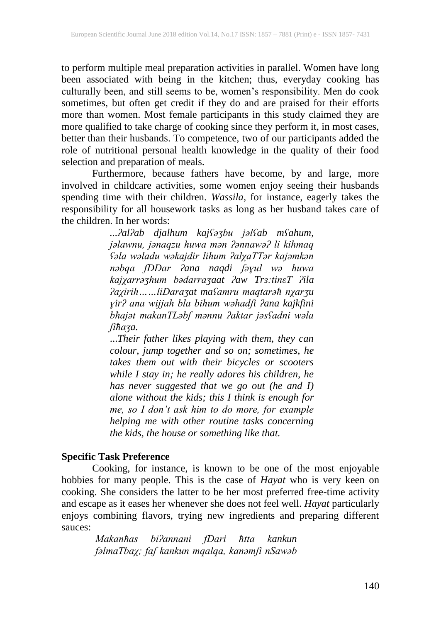to perform multiple meal preparation activities in parallel. Women have long been associated with being in the kitchen; thus, everyday cooking has culturally been, and still seems to be, women's responsibility. Men do cook sometimes, but often get credit if they do and are praised for their efforts more than women. Most female participants in this study claimed they are more qualified to take charge of cooking since they perform it, in most cases, better than their husbands. To competence, two of our participants added the role of nutritional personal health knowledge in the quality of their food selection and preparation of meals.

Furthermore, because fathers have become, by and large, more involved in childcare activities, some women enjoy seeing their husbands spending time with their children. *Wassila*, for instance, eagerly takes the responsibility for all housework tasks as long as her husband takes care of the children. In her words:

> *...ʔalʔab djalhum kajʕǝʒbu jǝlʕab mʕahum, jǝlawnu, jǝnaqzu huwa mǝn ʔǝnnawǝʔ li kiħmaq ʕǝla wǝladu wǝkajdir lihum ʔalχaTTǝr kajǝmkǝn nǝbqa fDDar ʔana naqdi ʃǝɣul wǝ huwa kajχarrǝʒhum bǝdarraʒaat ʔaw Trɜ:tinεT ʔila ʔaχirih……liDaraʒat maʕamru maqtarǝħ nχarʒu ɣirʔ ana wijjah bla bihum wǝhadʃi ʔana kajkfini bħajǝt makanTLǝbʃ mǝnnu ʔaktar jǝsʕadni wǝla ʃiħaʒa.*

...*Their father likes playing with them, they can colour, jump together and so on; sometimes, he takes them out with their bicycles or scooters while I stay in; he really adores his children, he has never suggested that we go out (he and I) alone without the kids; this I think is enough for me, so I don't ask him to do more, for example helping me with other routine tasks concerning the kids, the house or something like that.*

#### **Specific Task Preference**

Cooking, for instance, is known to be one of the most enjoyable hobbies for many people. This is the case of *Hayat* who is very keen on cooking. She considers the latter to be her most preferred free-time activity and escape as it eases her whenever she does not feel well. *Hayat* particularly enjoys combining flavors, trying new ingredients and preparing different sauces:

*Makanħas biʔannani fDari ħtta kankun fǝlmaTbaχ; faʃ kankun mqalqa, kanǝmʃi nSawǝb*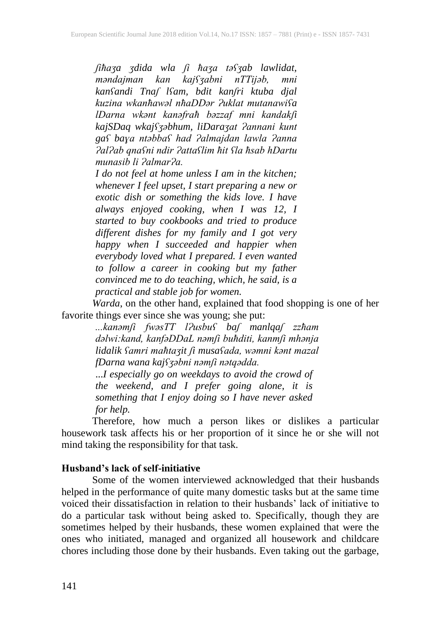*ʃiħaʒa ʒdida wla ʃi ħaʒa tǝʕʒab lawlidat, mǝndajman kan kajʕʒabni nTTijǝb, mni kanʕandi Tnaʃ lʕam, bdit kanʃri ktuba djal kuzina wkanħawǝl nħaDDǝr Ɂuklat mutanawiʕa lDarna wkǝnt kanǝfraħ bǝzzaf mni kandakʃi kajSDaq wkajʕʒǝbhum, liDaraʒat Ɂannani kunt gaʕ baɣa ntǝbbaʕ had Ɂalmajdan lawla Ɂanna ɁalɁab qnaʕni ndir Ɂattaʕlim ħit ʕla ħsab hDartu munasib li ɁalmarɁa.*

*I do not feel at home unless I am in the kitchen; whenever I feel upset, I start preparing a new or exotic dish or something the kids love. I have always enjoyed cooking, when I was 12, I started to buy cookbooks and tried to produce different dishes for my family and I got very happy when I succeeded and happier when everybody loved what I prepared. I even wanted to follow a career in cooking but my father convinced me to do teaching, which, he said, is a practical and stable job for women.*

*Warda*, on the other hand, explained that food shopping is one of her favorite things ever since she was young; she put:

*...kanǝmʃi fwǝsTT lɁusbuʕ baʃ manlqaʃ zzħam dǝlwi:kand, kanfǝDDaL nǝmʃi buħditi, kanmʃi mhǝnja lidalik ʕamri maħtaʒit ʃi musaʕada, wǝmni kǝnt mazal fDarna wana kajʕʒǝbni nǝmʃi nǝtqǝdda.*

...*I especially go on weekdays to avoid the crowd of the weekend, and I prefer going alone, it is something that I enjoy doing so I have never asked for help.*

Therefore, how much a person likes or dislikes a particular housework task affects his or her proportion of it since he or she will not mind taking the responsibility for that task.

#### **Husband's lack of self-initiative**

Some of the women interviewed acknowledged that their husbands helped in the performance of quite many domestic tasks but at the same time voiced their dissatisfaction in relation to their husbands' lack of initiative to do a particular task without being asked to. Specifically, though they are sometimes helped by their husbands, these women explained that were the ones who initiated, managed and organized all housework and childcare chores including those done by their husbands. Even taking out the garbage,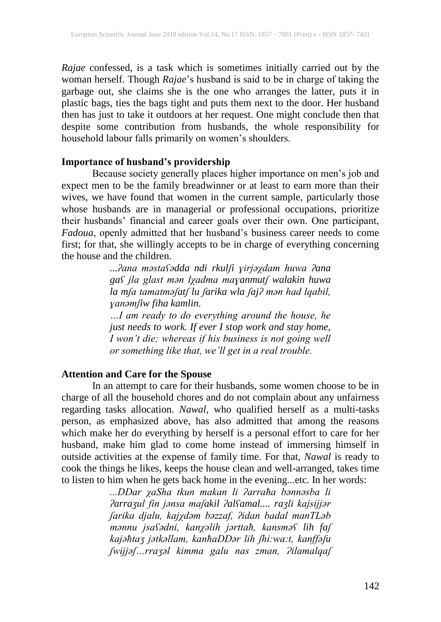*Rajae* confessed, is a task which is sometimes initially carried out by the woman herself. Though *Rajae*'s husband is said to be in charge of taking the garbage out, she claims she is the one who arranges the latter, puts it in plastic bags, ties the bags tight and puts them next to the door. Her husband then has just to take it outdoors at her request. One might conclude then that despite some contribution from husbands, the whole responsibility for household labour falls primarily on women's shoulders.

#### **Importance of husband's providership**

Because society generally places higher importance on men's job and expect men to be the family breadwinner or at least to earn more than their wives, we have found that women in the current sample, particularly those whose husbands are in managerial or professional occupations, prioritize their husbands' financial and career goals over their own. One participant, *Fadoua*, openly admitted that her husband's business career needs to come first; for that, she willingly accepts to be in charge of everything concerning the house and the children.

*...ʔana mǝstaʕǝdda ndi rkulʃi ɣirjǝχdam huwa ʔana gaʕ jla glast mǝn lχadma maɣanmutʃ walakin huwa la mʃa tamatmǝʃatʃ lu ʃarika wla ʃajʔ mǝn had lqabil, ɣanǝmʃiw fiha kamlin.*

*…I am ready to do everything around the house, he just needs to work. If ever I stop work and stay home, I won't die; whereas if his business is not going well or something like that, we'll get in a real trouble.*

# **Attention and Care for the Spouse**

In an attempt to care for their husbands, some women choose to be in charge of all the household chores and do not complain about any unfairness regarding tasks allocation. *Nawal,* who qualified herself as a multi-tasks person, as emphasized above, has also admitted that among the reasons which make her do everything by herself is a personal effort to care for her husband, make him glad to come home instead of immersing himself in outside activities at the expense of family time. For that, *Nawal* is ready to cook the things he likes, keeps the house clean and well-arranged, takes time to listen to him when he gets back home in the evening...etc. In her words:

> *...DDar χaSha tkun makan li ʔarraħa bǝnnǝsba li ʔarraʒul fin jǝnsa maʃakil ʔalʕamal.... raʒli kajsijjǝr ʃarika djalu, kajχdǝm bǝzzaf, ʔidan badal manTLǝb mǝnnu jsaʕǝdni, kanχǝlih jǝrttaħ, kansmǝʕ lih faʃ kajǝħtaʒ jǝtkǝllam, kanħaDDǝr lih ʃhi:wa:t, kanffǝʃu ʃwijjǝʃ…rraʒǝl kimma galu nas zman, Ɂilamalqaʃ*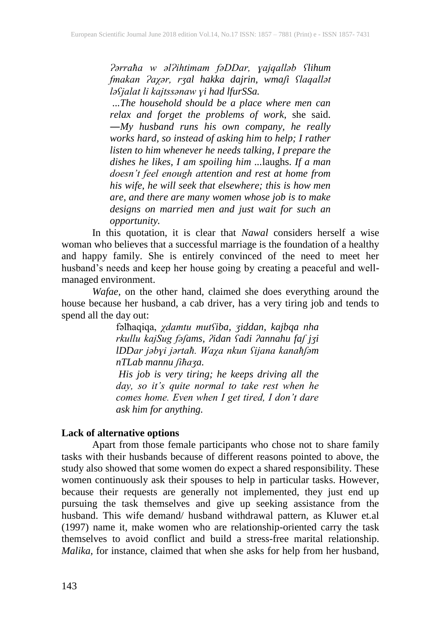*Ɂǝrraħa w ǝlɁihtimam fǝDDar, ɣajqallǝb ʕlihum fmakan Ɂaχǝr, rʒal hakka dajrin, wmaʃi ʕlaqallǝt lǝʕjalat li kajtssǝnaw ɣi had lfurSSa.*

*...The household should be a place where men can relax and forget the problems of work*, she said. ―*My husband runs his own company, he really works hard, so instead of asking him to help; I rather listen to him whenever he needs talking, I prepare the dishes he likes, I am spoiling him ...*laughs. *If a man doesn't feel enough attention and rest at home from his wife, he will seek that elsewhere; this is how men are, and there are many women whose job is to make designs on married men and just wait for such an opportunity.*

In this quotation, it is clear that *Nawal* considers herself a wise woman who believes that a successful marriage is the foundation of a healthy and happy family. She is entirely convinced of the need to meet her husband's needs and keep her house going by creating a peaceful and wellmanaged environment.

*Wafae,* on the other hand, claimed she does everything around the house because her husband, a cab driver, has a very tiring job and tends to spend all the day out:

fǝlħaqiqa, *χdamtu mutʕiba, ʒiddan, kajbqa nha rkullu kajSug fǝʃams, ʔidan ʕadi ʔannahu faʃ jʒi lDDar jǝbɣi jǝrtaħ. Waχa nkun ʕijana kanaħʃǝm nTLab mannu ʃiħaʒa.*

*His job is very tiring; he keeps driving all the day, so it's quite normal to take rest when he comes home. Even when I get tired, I don't dare ask him for anything.*

#### **Lack of alternative options**

Apart from those female participants who chose not to share family tasks with their husbands because of different reasons pointed to above, the study also showed that some women do expect a shared responsibility. These women continuously ask their spouses to help in particular tasks. However, because their requests are generally not implemented, they just end up pursuing the task themselves and give up seeking assistance from the husband. This wife demand/ husband withdrawal pattern, as Kluwer et.al (1997) name it, make women who are relationship-oriented carry the task themselves to avoid conflict and build a stress-free marital relationship. *Malika,* for instance, claimed that when she asks for help from her husband,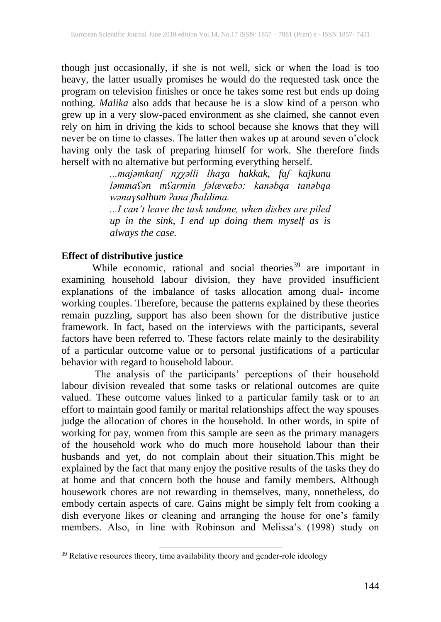though just occasionally, if she is not well, sick or when the load is too heavy, the latter usually promises he would do the requested task once the program on television finishes or once he takes some rest but ends up doing nothing. *Malika* also adds that because he is a slow kind of a person who grew up in a very slow-paced environment as she claimed, she cannot even rely on him in driving the kids to school because she knows that they will never be on time to classes. The latter then wakes up at around seven o'clock having only the task of preparing himself for work. She therefore finds herself with no alternative but performing everything herself.

> *...majǝmkanʃ nχχǝlli lħaʒa hakkak, faʃ kajkunu lǝmmaʕǝn mʕarmin fǝlӕvӕbɔ: kanǝbqa tanǝbqa wǝnaɣsalhum ʔana fħaldima.*

> *...I can't leave the task undone, when dishes are piled up in the sink, I end up doing them myself as is always the case.*

#### **Effect of distributive justice**

While economic, rational and social theories<sup>39</sup> are important in examining household labour division, they have provided insufficient explanations of the imbalance of tasks allocation among dual- income working couples. Therefore, because the patterns explained by these theories remain puzzling, support has also been shown for the distributive justice framework. In fact, based on the interviews with the participants, several factors have been referred to. These factors relate mainly to the desirability of a particular outcome value or to personal justifications of a particular behavior with regard to household labour.

The analysis of the participants' perceptions of their household labour division revealed that some tasks or relational outcomes are quite valued. These outcome values linked to a particular family task or to an effort to maintain good family or marital relationships affect the way spouses judge the allocation of chores in the household. In other words, in spite of working for pay, women from this sample are seen as the primary managers of the household work who do much more household labour than their husbands and yet, do not complain about their situation.This might be explained by the fact that many enjoy the positive results of the tasks they do at home and that concern both the house and family members. Although housework chores are not rewarding in themselves, many, nonetheless, do embody certain aspects of care. Gains might be simply felt from cooking a dish everyone likes or cleaning and arranging the house for one's family members. Also, in line with Robinson and Melissa's (1998) study on

 $\overline{\phantom{a}}$ 

<sup>&</sup>lt;sup>39</sup> Relative resources theory, time availability theory and gender-role ideology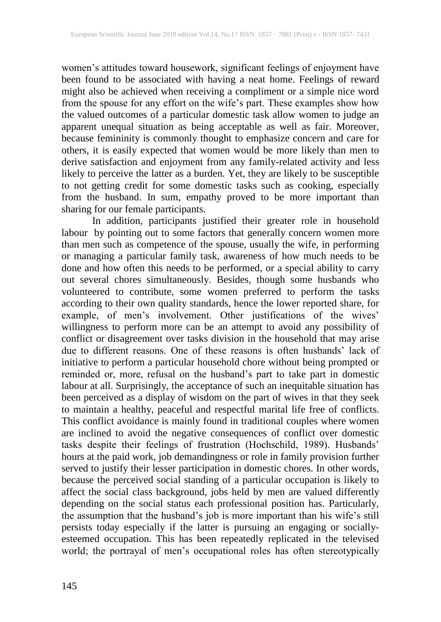women's attitudes toward housework, significant feelings of enjoyment have been found to be associated with having a neat home. Feelings of reward might also be achieved when receiving a compliment or a simple nice word from the spouse for any effort on the wife's part. These examples show how the valued outcomes of a particular domestic task allow women to judge an apparent unequal situation as being acceptable as well as fair. Moreover, because femininity is commonly thought to emphasize concern and care for others, it is easily expected that women would be more likely than men to derive satisfaction and enjoyment from any family-related activity and less likely to perceive the latter as a burden. Yet, they are likely to be susceptible to not getting credit for some domestic tasks such as cooking, especially from the husband. In sum, empathy proved to be more important than sharing for our female participants.

In addition, participants justified their greater role in household labour by pointing out to some factors that generally concern women more than men such as competence of the spouse, usually the wife, in performing or managing a particular family task, awareness of how much needs to be done and how often this needs to be performed, or a special ability to carry out several chores simultaneously. Besides, though some husbands who volunteered to contribute, some women preferred to perform the tasks according to their own quality standards, hence the lower reported share, for example, of men's involvement. Other justifications of the wives' willingness to perform more can be an attempt to avoid any possibility of conflict or disagreement over tasks division in the household that may arise due to different reasons. One of these reasons is often husbands' lack of initiative to perform a particular household chore without being prompted or reminded or, more, refusal on the husband's part to take part in domestic labour at all. Surprisingly, the acceptance of such an inequitable situation has been perceived as a display of wisdom on the part of wives in that they seek to maintain a healthy, peaceful and respectful marital life free of conflicts. This conflict avoidance is mainly found in traditional couples where women are inclined to avoid the negative consequences of conflict over domestic tasks despite their feelings of frustration (Hochschild, 1989). Husbands' hours at the paid work, job demandingness or role in family provision further served to justify their lesser participation in domestic chores. In other words, because the perceived social standing of a particular occupation is likely to affect the social class background, jobs held by men are valued differently depending on the social status each professional position has. Particularly, the assumption that the husband's job is more important than his wife's still persists today especially if the latter is pursuing an engaging or sociallyesteemed occupation. This has been repeatedly replicated in the televised world; the portrayal of men's occupational roles has often stereotypically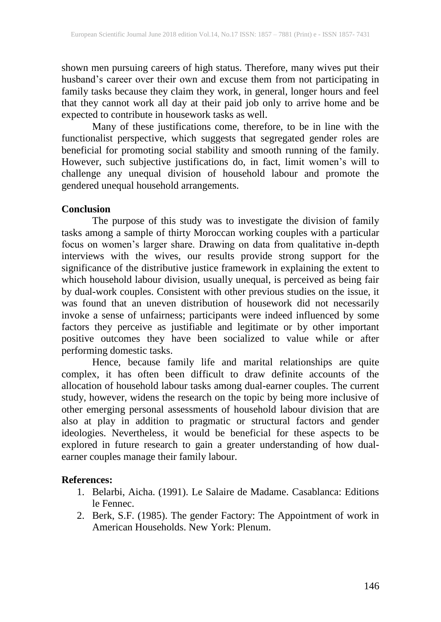shown men pursuing careers of high status. Therefore, many wives put their husband's career over their own and excuse them from not participating in family tasks because they claim they work, in general, longer hours and feel that they cannot work all day at their paid job only to arrive home and be expected to contribute in housework tasks as well.

Many of these justifications come, therefore, to be in line with the functionalist perspective, which suggests that segregated gender roles are beneficial for promoting social stability and smooth running of the family. However, such subjective justifications do, in fact, limit women's will to challenge any unequal division of household labour and promote the gendered unequal household arrangements.

#### **Conclusion**

The purpose of this study was to investigate the division of family tasks among a sample of thirty Moroccan working couples with a particular focus on women's larger share. Drawing on data from qualitative in-depth interviews with the wives, our results provide strong support for the significance of the distributive justice framework in explaining the extent to which household labour division, usually unequal, is perceived as being fair by dual-work couples. Consistent with other previous studies on the issue, it was found that an uneven distribution of housework did not necessarily invoke a sense of unfairness; participants were indeed influenced by some factors they perceive as justifiable and legitimate or by other important positive outcomes they have been socialized to value while or after performing domestic tasks.

Hence, because family life and marital relationships are quite complex, it has often been difficult to draw definite accounts of the allocation of household labour tasks among dual-earner couples. The current study, however, widens the research on the topic by being more inclusive of other emerging personal assessments of household labour division that are also at play in addition to pragmatic or structural factors and gender ideologies. Nevertheless, it would be beneficial for these aspects to be explored in future research to gain a greater understanding of how dualearner couples manage their family labour.

#### **References:**

- 1. Belarbi, Aicha. (1991). Le Salaire de Madame. Casablanca: Editions le Fennec.
- 2. Berk, S.F. (1985). The gender Factory: The Appointment of work in American Households. New York: Plenum.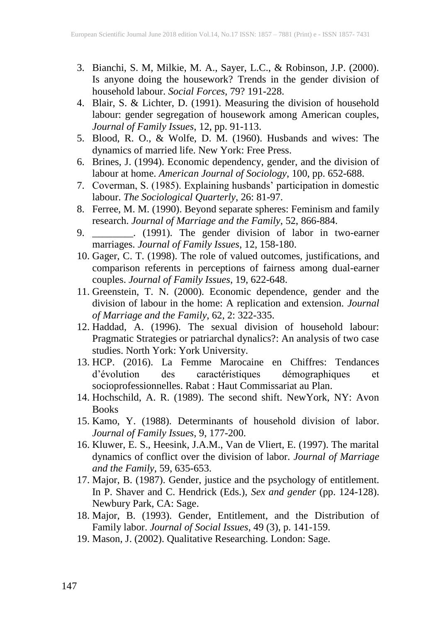- 3. Bianchi, S. M, Milkie, M. A., Sayer, L.C., & Robinson, J.P. (2000). Is anyone doing the housework? Trends in the gender division of household labour. *Social Forces*, 79? 191-228.
- 4. Blair, S. & Lichter, D. (1991). Measuring the division of household labour: gender segregation of housework among American couples, *Journal of Family Issues*, 12, pp. 91-113.
- 5. Blood, R. O., & Wolfe, D. M. (1960). Husbands and wives: The dynamics of married life. New York: Free Press.
- 6. Brines, J. (1994). Economic dependency, gender, and the division of labour at home. *American Journal of Sociology*, 100, pp. 652-688.
- 7. Coverman, S. (1985). Explaining husbands' participation in domestic labour. *The Sociological Quarterly*, 26: 81-97.
- 8. Ferree, M. M. (1990). Beyond separate spheres: Feminism and family research. *Journal of Marriage and the Family*, 52, 866-884.
- 9. \_\_\_\_\_\_\_\_. (1991). The gender division of labor in two-earner marriages. *Journal of Family Issues*, 12, 158-180.
- 10. Gager, C. T. (1998). The role of valued outcomes, justifications, and comparison referents in perceptions of fairness among dual-earner couples. *Journal of Family Issues*, 19, 622-648.
- 11. Greenstein, T. N. (2000). Economic dependence, gender and the division of labour in the home: A replication and extension. *Journal of Marriage and the Family*, 62, 2: 322-335.
- 12. Haddad, A. (1996). The sexual division of household labour: Pragmatic Strategies or patriarchal dynalics?: An analysis of two case studies. North York: York University.
- 13. HCP. (2016). La Femme Marocaine en Chiffres: Tendances d'évolution des caractéristiques démographiques et socioprofessionnelles. Rabat : Haut Commissariat au Plan.
- 14. Hochschild, A. R. (1989). The second shift. NewYork, NY: Avon Books
- 15. Kamo, Y. (1988). Determinants of household division of labor. *Journal of Family Issues*, 9, 177-200.
- 16. Kluwer, E. S., Heesink, J.A.M., Van de Vliert, E. (1997). The marital dynamics of conflict over the division of labor. *Journal of Marriage and the Family*, 59, 635-653.
- 17. Major, B. (1987). Gender, justice and the psychology of entitlement. In P. Shaver and C. Hendrick (Eds.), *Sex and gender* (pp. 124-128). Newbury Park, CA: Sage.
- 18. Major, B. (1993). Gender, Entitlement, and the Distribution of Family labor. *Journal of Social Issues*, 49 (3), p. 141-159.
- 19. Mason, J. (2002). Qualitative Researching. London: Sage.